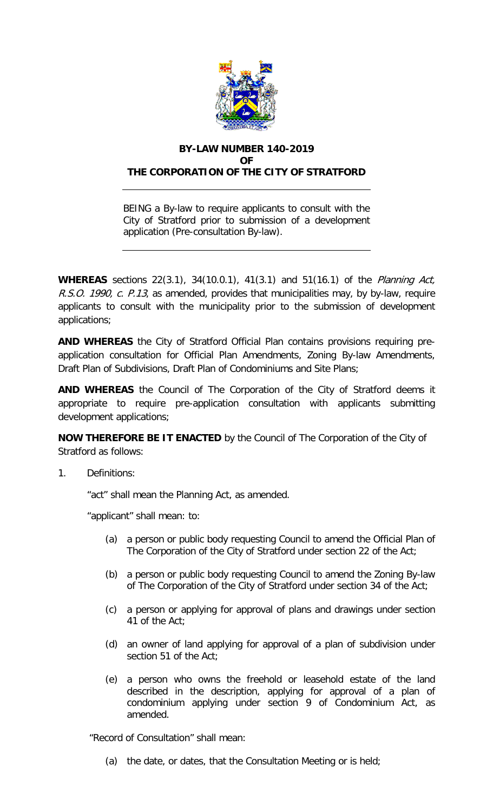

## **BY-LAW NUMBER 140-2019**  $\Omega$ F **THE CORPORATION OF THE CITY OF STRATFORD**

BEING a By-law to require applicants to consult with the City of Stratford prior to submission of a development application (Pre-consultation By-law).

**WHEREAS** sections 22(3.1), 34(10.0.1), 41(3.1) and 51(16.1) of the Planning Act, R.S.O. 1990, c. P.13, as amended, provides that municipalities may, by by-law, require applicants to consult with the municipality prior to the submission of development applications;

**AND WHEREAS** the City of Stratford Official Plan contains provisions requiring preapplication consultation for Official Plan Amendments, Zoning By-law Amendments, Draft Plan of Subdivisions, Draft Plan of Condominiums and Site Plans;

**AND WHEREAS** the Council of The Corporation of the City of Stratford deems it appropriate to require pre-application consultation with applicants submitting development applications;

**NOW THEREFORE BE IT ENACTED** by the Council of The Corporation of the City of Stratford as follows:

1. Definitions:

"act" shall mean the Planning Act, as amended.

"applicant" shall mean: to:

- (a) a person or public body requesting Council to amend the Official Plan of The Corporation of the City of Stratford under section 22 of the Act;
- (b) a person or public body requesting Council to amend the Zoning By-law of The Corporation of the City of Stratford under section 34 of the Act;
- (c) a person or applying for approval of plans and drawings under section 41 of the Act;
- (d) an owner of land applying for approval of a plan of subdivision under section 51 of the Act;
- (e) a person who owns the freehold or leasehold estate of the land described in the description, applying for approval of a plan of condominium applying under section 9 of Condominium Act, as amended.

"Record of Consultation" shall mean:

(a) the date, or dates, that the Consultation Meeting or is held;